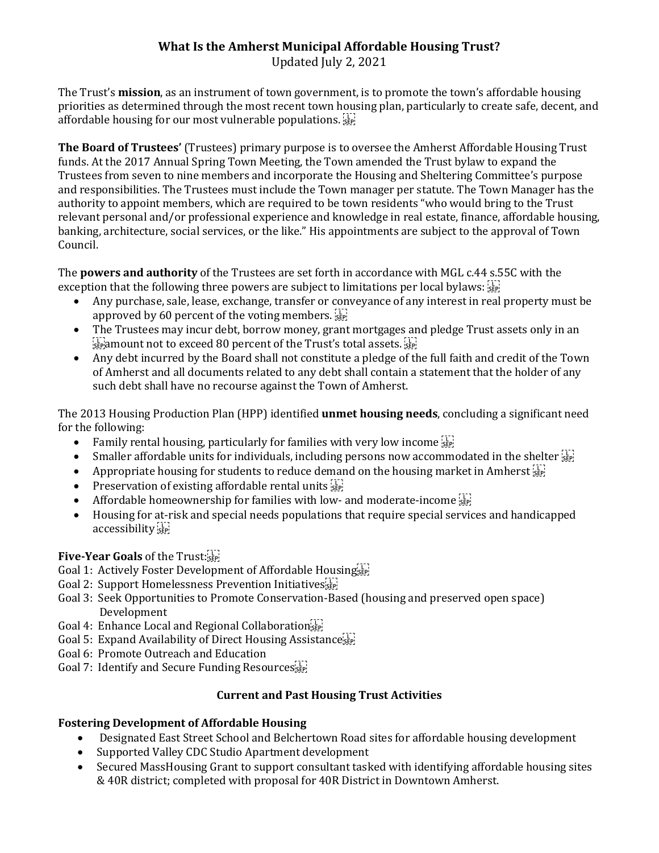# **What Is the Amherst Municipal Affordable Housing Trust?**

Updated July 2, 2021

The Trust's **mission**, as an instrument of town government, is to promote the town's affordable housing priorities as determined through the most recent town housing plan, particularly to create safe, decent, and affordable housing for our most vulnerable populations.  $\sum_{i=1}^{n}$ 

**The Board of Trustees'** (Trustees) primary purpose is to oversee the Amherst Affordable Housing Trust funds. At the 2017 Annual Spring Town Meeting, the Town amended the Trust bylaw to expand the Trustees from seven to nine members and incorporate the Housing and Sheltering Committee's purpose and responsibilities. The Trustees must include the Town manager per statute. The Town Manager has the authority to appoint members, which are required to be town residents "who would bring to the Trust relevant personal and/or professional experience and knowledge in real estate, finance, affordable housing, banking, architecture, social services, or the like." His appointments are subject to the approval of Town Council.

The **powers and authority** of the Trustees are set forth in accordance with MGL c.44 s.55C with the exception that the following three powers are subject to limitations per local bylaws:  $\frac{1}{12}$ 

- Any purchase, sale, lease, exchange, transfer or conveyance of any interest in real property must be approved by 60 percent of the voting members.  $\frac{1}{15}$
- The Trustees may incur debt, borrow money, grant mortgages and pledge Trust assets only in an  $\frac{1}{25}$  amount not to exceed 80 percent of the Trust's total assets.  $\frac{1}{25}$
- Any debt incurred by the Board shall not constitute a pledge of the full faith and credit of the Town of Amherst and all documents related to any debt shall contain a statement that the holder of any such debt shall have no recourse against the Town of Amherst.

The 2013 Housing Production Plan (HPP) identified **unmet housing needs**, concluding a significant need for the following:

- Family rental housing, particularly for families with very low income  $\frac{1}{15}$
- Smaller affordable units for individuals, including persons now accommodated in the shelter  $\overline{S_{\text{EP}}^{\text{[1]}}}$
- Appropriate housing for students to reduce demand on the housing market in Amherst  $\frac{1}{356}$
- Preservation of existing affordable rental units  $\prod_{i=1}^{n}$
- Affordable homeownership for families with low- and moderate-income  $\frac{11}{35}$
- Housing for at-risk and special needs populations that require special services and handicapped accessibility<sup>[17]</sup>

## **Five-Year Goals** of the Trust:

- Goal 1: Actively Foster Development of Affordable Housing
- Goal 2: Support Homelessness Prevention Initiatives
- Goal 3: Seek Opportunities to Promote Conservation-Based (housing and preserved open space) Development
- Goal 4: Enhance Local and Regional Collaborations
- Goal 5: Expand Availability of Direct Housing Assistance sep-
- Goal 6: Promote Outreach and Education
- Goal 7: Identify and Secure Funding Resourcessier

## **Current and Past Housing Trust Activities**

## **Fostering Development of Affordable Housing**

- Designated East Street School and Belchertown Road sites for affordable housing development
- Supported Valley CDC Studio Apartment development
- Secured MassHousing Grant to support consultant tasked with identifying affordable housing sites & 40R district; completed with proposal for 40R District in Downtown Amherst.